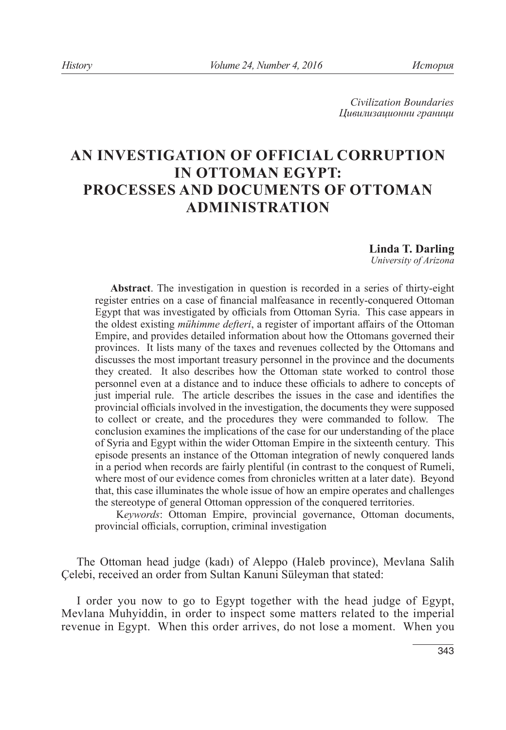*Civilization boundaries Цивилизационни граници*

# **AN INVESTIGATION OF OFFICIAL CORRUPTION IN OTTOMAN EGYPT: PROCESSES AND DOCUMENTS OF OTTOMAN ADMINISTRATION**

#### **Linda T. Darling**

*University of Arizona*

**Abstract**. The investigation in question is recorded in a series of thirty-eight register entries on a case of financial malfeasance in recently-conquered Ottoman Egypt that was investigated by officials from Ottoman Syria. This case appears in the oldest existing *mühimme defteri*, a register of important affairs of the Ottoman Empire, and provides detailed information about how the Ottomans governed their provinces. It lists many of the taxes and revenues collected by the Ottomans and discusses the most important treasury personnel in the province and the documents they created. It also describes how the Ottoman state worked to control those personnel even at a distance and to induce these officials to adhere to concepts of just imperial rule. The article describes the issues in the case and identifies the provincial officials involved in the investigation, the documents they were supposed to collect or create, and the procedures they were commanded to follow. The conclusion examines the implications of the case for our understanding of the place of Syria and Egypt within the wider Ottoman Empire in the sixteenth century. This episode presents an instance of the Ottoman integration of newly conquered lands in a period when records are fairly plentiful (in contrast to the conquest of Rumeli, where most of our evidence comes from chronicles written at a later date). Beyond that, this case illuminates the whole issue of how an empire operates and challenges the stereotype of general Ottoman oppression of the conquered territories.

 K*eywords*: Ottoman Empire, provincial governance, Ottoman documents, provincial officials, corruption, criminal investigation

The Ottoman head judge (kadı) of Aleppo (Haleb province), Mevlana Salih Çelebi, received an order from Sultan Kanuni Süleyman that stated:

I order you now to go to Egypt together with the head judge of Egypt, Mevlana Muhyiddin, in order to inspect some matters related to the imperial revenue in Egypt. When this order arrives, do not lose a moment. When you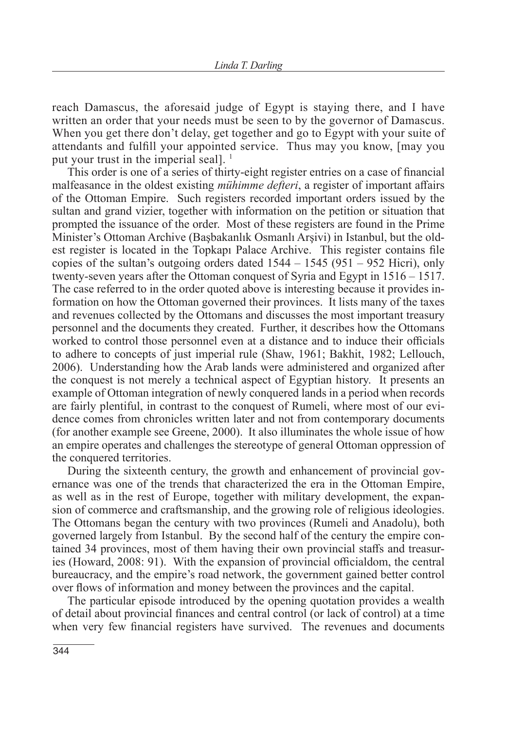reach Damascus, the aforesaid judge of Egypt is staying there, and I have written an order that your needs must be seen to by the governor of Damascus. When you get there don't delay, get together and go to Egypt with your suite of attendants and fulfill your appointed service. Thus may you know, [may you put your trust in the imperial seal].  $<sup>1</sup>$ </sup>

This order is one of a series of thirty-eight register entries on a case of financial malfeasance in the oldest existing *mühimme defteri*, a register of important affairs of the Ottoman Empire. Such registers recorded important orders issued by the sultan and grand vizier, together with information on the petition or situation that prompted the issuance of the order. Most of these registers are found in the Prime Minister's Ottoman Archive (Başbakanlık Osmanlı Arşivi) in Istanbul, but the oldest register is located in the Topkapı Palace Archive. This register contains file copies of the sultan's outgoing orders dated  $1544 - 1545 (951 - 952$  Hicri), only twenty-seven years after the Ottoman conquest of Syria and Egypt in 1516 – 1517. The case referred to in the order quoted above is interesting because it provides information on how the Ottoman governed their provinces. It lists many of the taxes and revenues collected by the Ottomans and discusses the most important treasury personnel and the documents they created. Further, it describes how the Ottomans worked to control those personnel even at a distance and to induce their officials to adhere to concepts of just imperial rule (Shaw, 1961; Bakhit, 1982; Lellouch, 2006). Understanding how the Arab lands were administered and organized after the conquest is not merely a technical aspect of Egyptian history. It presents an example of Ottoman integration of newly conquered lands in a period when records are fairly plentiful, in contrast to the conquest of Rumeli, where most of our evidence comes from chronicles written later and not from contemporary documents (for another example see Greene, 2000). It also illuminates the whole issue of how an empire operates and challenges the stereotype of general Ottoman oppression of the conquered territories.

During the sixteenth century, the growth and enhancement of provincial governance was one of the trends that characterized the era in the Ottoman Empire, as well as in the rest of Europe, together with military development, the expansion of commerce and craftsmanship, and the growing role of religious ideologies. The Ottomans began the century with two provinces (Rumeli and Anadolu), both governed largely from Istanbul. By the second half of the century the empire contained 34 provinces, most of them having their own provincial staffs and treasuries (Howard, 2008: 91). With the expansion of provincial officialdom, the central bureaucracy, and the empire's road network, the government gained better control over flows of information and money between the provinces and the capital.

The particular episode introduced by the opening quotation provides a wealth of detail about provincial finances and central control (or lack of control) at a time when very few financial registers have survived. The revenues and documents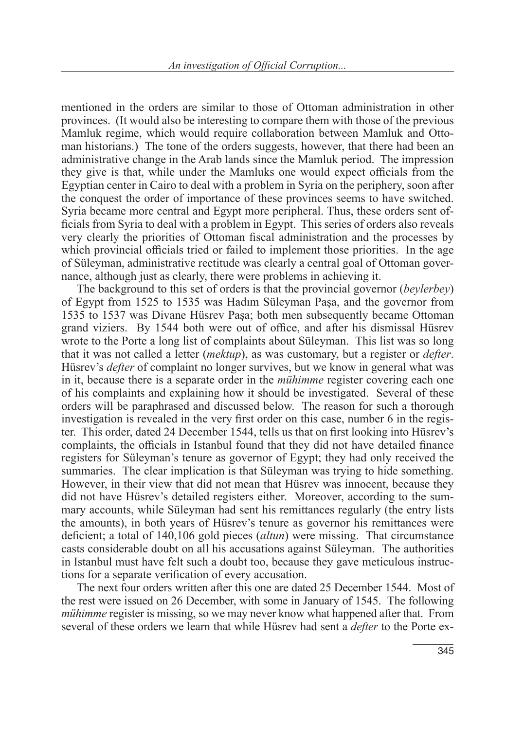mentioned in the orders are similar to those of Ottoman administration in other provinces. (It would also be interesting to compare them with those of the previous Mamluk regime, which would require collaboration between Mamluk and Ottoman historians.) The tone of the orders suggests, however, that there had been an administrative change in the Arab lands since the Mamluk period. The impression they give is that, while under the Mamluks one would expect officials from the Egyptian center in Cairo to deal with a problem in Syria on the periphery, soon after the conquest the order of importance of these provinces seems to have switched. Syria became more central and Egypt more peripheral. Thus, these orders sent officials from Syria to deal with a problem in Egypt. This series of orders also reveals very clearly the priorities of Ottoman fiscal administration and the processes by which provincial officials tried or failed to implement those priorities. In the age of Süleyman, administrative rectitude was clearly a central goal of Ottoman governance, although just as clearly, there were problems in achieving it.

The background to this set of orders is that the provincial governor (*beylerbey*) of Egypt from 1525 to 1535 was Hadım Süleyman Paşa, and the governor from 1535 to 1537 was Divane Hüsrev Paşa; both men subsequently became Ottoman grand viziers. By 1544 both were out of office, and after his dismissal Hüsrev wrote to the Porte a long list of complaints about Süleyman. This list was so long that it was not called a letter (*mektup*), as was customary, but a register or *defter*. Hüsrev's *defter* of complaint no longer survives, but we know in general what was in it, because there is a separate order in the *mühimme* register covering each one of his complaints and explaining how it should be investigated. Several of these orders will be paraphrased and discussed below. The reason for such a thorough investigation is revealed in the very first order on this case, number 6 in the register. This order, dated 24 December 1544, tells us that on first looking into Hüsrev's complaints, the officials in Istanbul found that they did not have detailed finance registers for Süleyman's tenure as governor of Egypt; they had only received the summaries. The clear implication is that Süleyman was trying to hide something. However, in their view that did not mean that Hüsrev was innocent, because they did not have Hüsrev's detailed registers either. Moreover, according to the summary accounts, while Süleyman had sent his remittances regularly (the entry lists the amounts), in both years of Hüsrev's tenure as governor his remittances were deficient; a total of 140,106 gold pieces (*altun*) were missing. That circumstance casts considerable doubt on all his accusations against Süleyman. The authorities in Istanbul must have felt such a doubt too, because they gave meticulous instructions for a separate verification of every accusation.

The next four orders written after this one are dated 25 December 1544. Most of the rest were issued on 26 December, with some in January of 1545. The following *mühimme* register is missing, so we may never know what happened after that. From several of these orders we learn that while Hüsrev had sent a *defter* to the Porte ex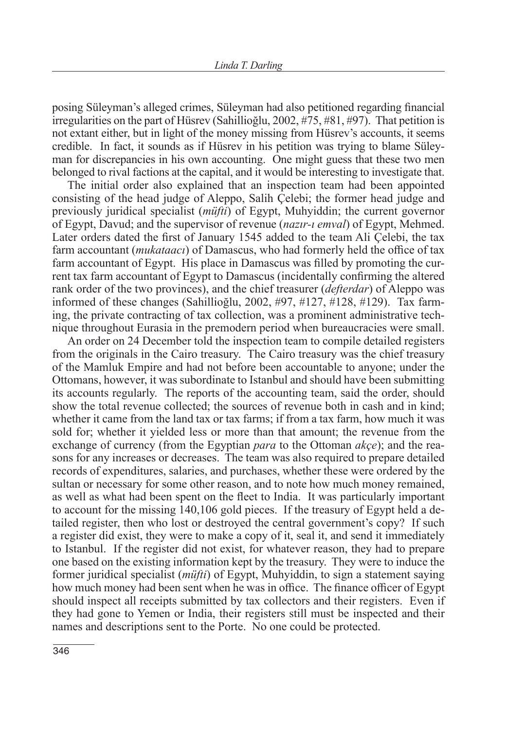posing Süleyman's alleged crimes, Süleyman had also petitioned regarding financial irregularities on the part of Hüsrev (Sahillioğlu, 2002, #75, #81, #97). That petition is not extant either, but in light of the money missing from Hüsrev's accounts, it seems credible. In fact, it sounds as if Hüsrev in his petition was trying to blame Süleyman for discrepancies in his own accounting. One might guess that these two men belonged to rival factions at the capital, and it would be interesting to investigate that.

The initial order also explained that an inspection team had been appointed consisting of the head judge of Aleppo, Salih Çelebi; the former head judge and previously juridical specialist (*müfti*) of Egypt, Muhyiddin; the current governor of Egypt, Davud; and the supervisor of revenue (*nazır-ı emval*) of Egypt, Mehmed. Later orders dated the first of January 1545 added to the team Ali Çelebi, the tax farm accountant (*mukataacı*) of Damascus, who had formerly held the office of tax farm accountant of Egypt. His place in Damascus was filled by promoting the current tax farm accountant of Egypt to Damascus (incidentally confirming the altered rank order of the two provinces), and the chief treasurer (*defterdar*) of Aleppo was informed of these changes (Sahillioğlu, 2002, #97, #127, #128, #129). Tax farming, the private contracting of tax collection, was a prominent administrative technique throughout Eurasia in the premodern period when bureaucracies were small.

An order on 24 December told the inspection team to compile detailed registers from the originals in the Cairo treasury. The Cairo treasury was the chief treasury of the Mamluk Empire and had not before been accountable to anyone; under the Ottomans, however, it was subordinate to Istanbul and should have been submitting its accounts regularly. The reports of the accounting team, said the order, should show the total revenue collected; the sources of revenue both in cash and in kind; whether it came from the land tax or tax farms; if from a tax farm, how much it was sold for; whether it yielded less or more than that amount; the revenue from the exchange of currency (from the Egyptian *para* to the Ottoman *akçe*); and the reasons for any increases or decreases. The team was also required to prepare detailed records of expenditures, salaries, and purchases, whether these were ordered by the sultan or necessary for some other reason, and to note how much money remained, as well as what had been spent on the fleet to India. It was particularly important to account for the missing 140,106 gold pieces. If the treasury of Egypt held a detailed register, then who lost or destroyed the central government's copy? If such a register did exist, they were to make a copy of it, seal it, and send it immediately to Istanbul. If the register did not exist, for whatever reason, they had to prepare one based on the existing information kept by the treasury. They were to induce the former juridical specialist (*müfti*) of Egypt, Muhyiddin, to sign a statement saying how much money had been sent when he was in office. The finance officer of Egypt should inspect all receipts submitted by tax collectors and their registers. Even if they had gone to Yemen or India, their registers still must be inspected and their names and descriptions sent to the Porte. No one could be protected.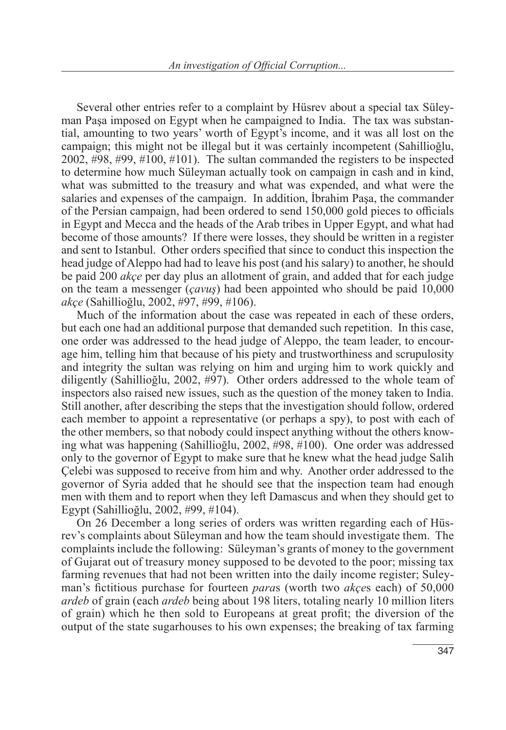Several other entries refer to a complaint by Hüsrev about a special tax Süleyman Paşa imposed on Egypt when he campaigned to India. The tax was substantial, amounting to two years' worth of Egypt's income, and it was all lost on the campaign; this might not be illegal but it was certainly incompetent (Sahillioğlu, 2002, #98, #99, #100, #101). The sultan commanded the registers to be inspected to determine how much Süleyman actually took on campaign in cash and in kind, what was submitted to the treasury and what was expended, and what were the salaries and expenses of the campaign. In addition, İbrahim Paşa, the commander of the Persian campaign, had been ordered to send 150,000 gold pieces to officials in Egypt and Mecca and the heads of the Arab tribes in Upper Egypt, and what had become of those amounts? If there were losses, they should be written in a register and sent to Istanbul. Other orders specified that since to conduct this inspection the head judge of Aleppo had had to leave his post (and his salary) to another, he should be paid 200 *akçe* per day plus an allotment of grain, and added that for each judge on the team a messenger (*çavuş*) had been appointed who should be paid 10,000 *akçe* (Sahillioğlu, 2002, #97, #99, #106).

Much of the information about the case was repeated in each of these orders, but each one had an additional purpose that demanded such repetition. In this case, one order was addressed to the head judge of Aleppo, the team leader, to encourage him, telling him that because of his piety and trustworthiness and scrupulosity and integrity the sultan was relying on him and urging him to work quickly and diligently (Sahillioğlu, 2002, #97). Other orders addressed to the whole team of inspectors also raised new issues, such as the question of the money taken to India. Still another, after describing the steps that the investigation should follow, ordered each member to appoint a representative (or perhaps a spy), to post with each of the other members, so that nobody could inspect anything without the others knowing what was happening (Sahillioğlu, 2002, #98, #100). One order was addressed only to the governor of Egypt to make sure that he knew what the head judge Salih Çelebi was supposed to receive from him and why. Another order addressed to the governor of Syria added that he should see that the inspection team had enough men with them and to report when they left Damascus and when they should get to Egypt (Sahillioğlu, 2002, #99, #104).

On 26 December a long series of orders was written regarding each of Hüsrev's complaints about Süleyman and how the team should investigate them. The complaints include the following: Süleyman's grants of money to the government of Gujarat out of treasury money supposed to be devoted to the poor; missing tax farming revenues that had not been written into the daily income register; Suleyman's fictitious purchase for fourteen *para*s (worth two *akçe*s each) of 50,000 *ardeb* of grain (each *ardeb* being about 198 liters, totaling nearly 10 million liters of grain) which he then sold to Europeans at great profit; the diversion of the output of the state sugarhouses to his own expenses; the breaking of tax farming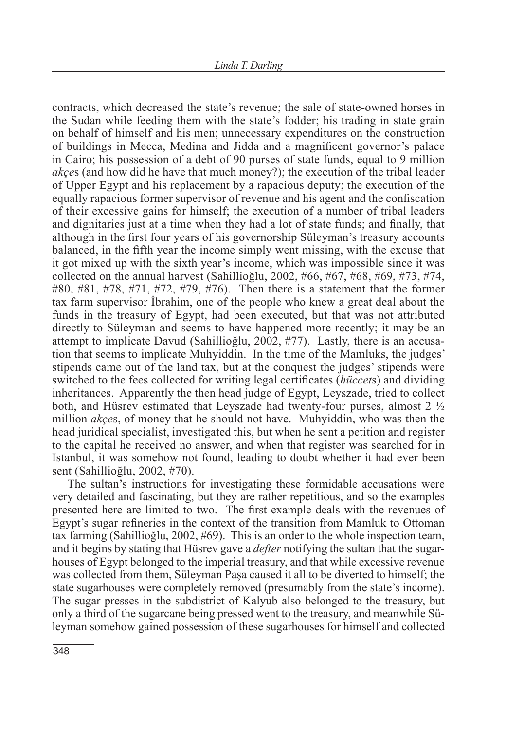contracts, which decreased the state's revenue; the sale of state-owned horses in the Sudan while feeding them with the state's fodder; his trading in state grain on behalf of himself and his men; unnecessary expenditures on the construction of buildings in Mecca, Medina and Jidda and a magnificent governor's palace in Cairo; his possession of a debt of 90 purses of state funds, equal to 9 million *akçe*s (and how did he have that much money?); the execution of the tribal leader of Upper Egypt and his replacement by a rapacious deputy; the execution of the equally rapacious former supervisor of revenue and his agent and the confiscation of their excessive gains for himself; the execution of a number of tribal leaders and dignitaries just at a time when they had a lot of state funds; and finally, that although in the first four years of his governorship Süleyman's treasury accounts balanced, in the fifth year the income simply went missing, with the excuse that it got mixed up with the sixth year's income, which was impossible since it was collected on the annual harvest (Sahillioğlu, 2002, #66, #67, #68, #69, #73, #74, #80, #81, #78, #71, #72, #79, #76). Then there is a statement that the former tax farm supervisor İbrahim, one of the people who knew a great deal about the funds in the treasury of Egypt, had been executed, but that was not attributed directly to Süleyman and seems to have happened more recently; it may be an attempt to implicate Davud (Sahillioğlu, 2002, #77). Lastly, there is an accusation that seems to implicate Muhyiddin. In the time of the Mamluks, the judges' stipends came out of the land tax, but at the conquest the judges' stipends were switched to the fees collected for writing legal certificates (*hüccet*s) and dividing inheritances. Apparently the then head judge of Egypt, Leyszade, tried to collect both, and Hüsrev estimated that Leyszade had twenty-four purses, almost 2 ½ million *akçe*s, of money that he should not have. Muhyiddin, who was then the head juridical specialist, investigated this, but when he sent a petition and register to the capital he received no answer, and when that register was searched for in Istanbul, it was somehow not found, leading to doubt whether it had ever been sent (Sahillioğlu, 2002, #70).

The sultan's instructions for investigating these formidable accusations were very detailed and fascinating, but they are rather repetitious, and so the examples presented here are limited to two. The first example deals with the revenues of Egypt's sugar refineries in the context of the transition from Mamluk to Ottoman tax farming (Sahillioğlu, 2002, #69). This is an order to the whole inspection team, and it begins by stating that Hüsrev gave a *defter* notifying the sultan that the sugarhouses of Egypt belonged to the imperial treasury, and that while excessive revenue was collected from them, Süleyman Paşa caused it all to be diverted to himself; the state sugarhouses were completely removed (presumably from the state's income). The sugar presses in the subdistrict of Kalyub also belonged to the treasury, but only a third of the sugarcane being pressed went to the treasury, and meanwhile Süleyman somehow gained possession of these sugarhouses for himself and collected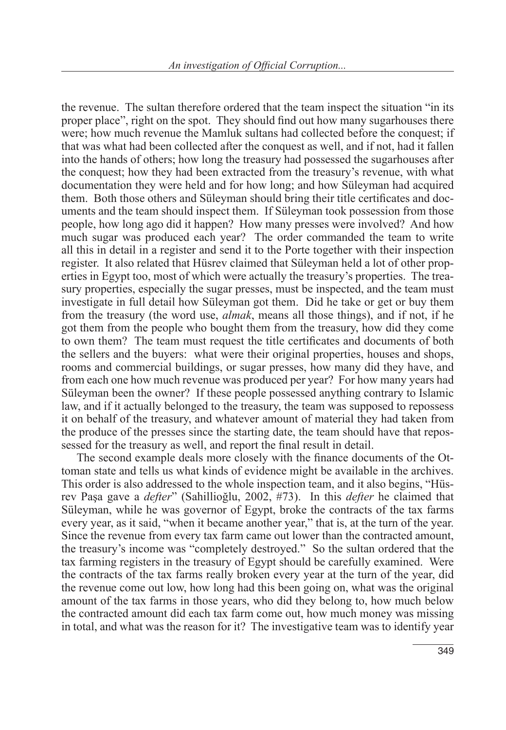the revenue. The sultan therefore ordered that the team inspect the situation "in its proper place", right on the spot. They should find out how many sugarhouses there were; how much revenue the Mamluk sultans had collected before the conquest; if that was what had been collected after the conquest as well, and if not, had it fallen into the hands of others; how long the treasury had possessed the sugarhouses after the conquest; how they had been extracted from the treasury's revenue, with what documentation they were held and for how long; and how Süleyman had acquired them. Both those others and Süleyman should bring their title certificates and documents and the team should inspect them. If Süleyman took possession from those people, how long ago did it happen? How many presses were involved? And how much sugar was produced each year? The order commanded the team to write all this in detail in a register and send it to the Porte together with their inspection register. It also related that Hüsrev claimed that Süleyman held a lot of other properties in Egypt too, most of which were actually the treasury's properties. The treasury properties, especially the sugar presses, must be inspected, and the team must investigate in full detail how Süleyman got them. Did he take or get or buy them from the treasury (the word use, *almak*, means all those things), and if not, if he got them from the people who bought them from the treasury, how did they come to own them? The team must request the title certificates and documents of both the sellers and the buyers: what were their original properties, houses and shops, rooms and commercial buildings, or sugar presses, how many did they have, and from each one how much revenue was produced per year? For how many years had Süleyman been the owner? If these people possessed anything contrary to Islamic law, and if it actually belonged to the treasury, the team was supposed to repossess it on behalf of the treasury, and whatever amount of material they had taken from the produce of the presses since the starting date, the team should have that repossessed for the treasury as well, and report the final result in detail.

The second example deals more closely with the finance documents of the Ottoman state and tells us what kinds of evidence might be available in the archives. This order is also addressed to the whole inspection team, and it also begins, "Hüsrev Paşa gave a *defter*" (Sahillioğlu, 2002, #73). In this *defter* he claimed that Süleyman, while he was governor of Egypt, broke the contracts of the tax farms every year, as it said, "when it became another year," that is, at the turn of the year. Since the revenue from every tax farm came out lower than the contracted amount, the treasury's income was "completely destroyed." So the sultan ordered that the tax farming registers in the treasury of Egypt should be carefully examined. Were the contracts of the tax farms really broken every year at the turn of the year, did the revenue come out low, how long had this been going on, what was the original amount of the tax farms in those years, who did they belong to, how much below the contracted amount did each tax farm come out, how much money was missing in total, and what was the reason for it? The investigative team was to identify year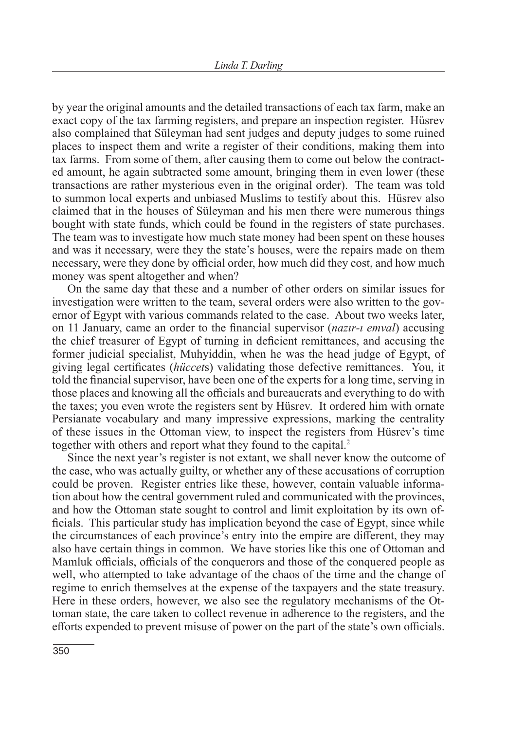by year the original amounts and the detailed transactions of each tax farm, make an exact copy of the tax farming registers, and prepare an inspection register. Hüsrev also complained that Süleyman had sent judges and deputy judges to some ruined places to inspect them and write a register of their conditions, making them into tax farms. From some of them, after causing them to come out below the contracted amount, he again subtracted some amount, bringing them in even lower (these transactions are rather mysterious even in the original order). The team was told to summon local experts and unbiased Muslims to testify about this. Hüsrev also claimed that in the houses of Süleyman and his men there were numerous things bought with state funds, which could be found in the registers of state purchases. The team was to investigate how much state money had been spent on these houses and was it necessary, were they the state's houses, were the repairs made on them necessary, were they done by official order, how much did they cost, and how much money was spent altogether and when?

On the same day that these and a number of other orders on similar issues for investigation were written to the team, several orders were also written to the governor of Egypt with various commands related to the case. About two weeks later, on 11 January, came an order to the financial supervisor (*nazır-ı emval*) accusing the chief treasurer of Egypt of turning in deficient remittances, and accusing the former judicial specialist, Muhyiddin, when he was the head judge of Egypt, of giving legal certificates (*hüccet*s) validating those defective remittances. You, it told the financial supervisor, have been one of the experts for a long time, serving in those places and knowing all the officials and bureaucrats and everything to do with the taxes; you even wrote the registers sent by Hüsrev. It ordered him with ornate Persianate vocabulary and many impressive expressions, marking the centrality of these issues in the Ottoman view, to inspect the registers from Hüsrev's time together with others and report what they found to the capital.<sup>2</sup>

Since the next year's register is not extant, we shall never know the outcome of the case, who was actually guilty, or whether any of these accusations of corruption could be proven. Register entries like these, however, contain valuable information about how the central government ruled and communicated with the provinces, and how the Ottoman state sought to control and limit exploitation by its own officials. This particular study has implication beyond the case of Egypt, since while the circumstances of each province's entry into the empire are different, they may also have certain things in common. We have stories like this one of Ottoman and Mamluk officials, officials of the conquerors and those of the conquered people as well, who attempted to take advantage of the chaos of the time and the change of regime to enrich themselves at the expense of the taxpayers and the state treasury. Here in these orders, however, we also see the regulatory mechanisms of the Ottoman state, the care taken to collect revenue in adherence to the registers, and the efforts expended to prevent misuse of power on the part of the state's own officials.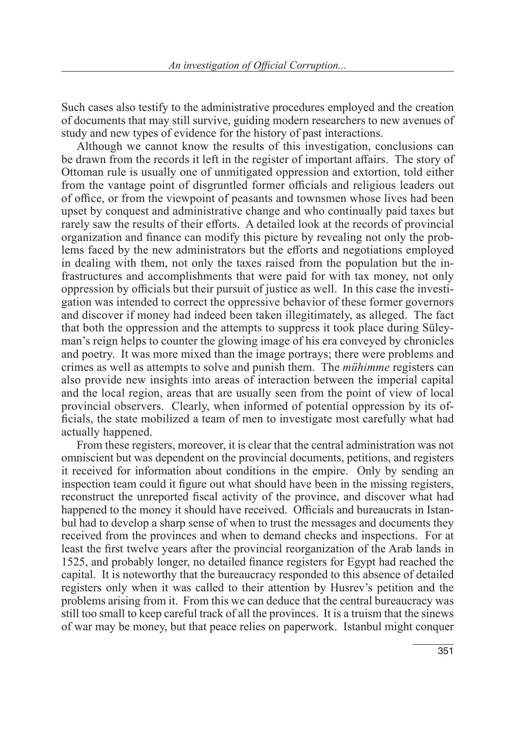Such cases also testify to the administrative procedures employed and the creation of documents that may still survive, guiding modern researchers to new avenues of study and new types of evidence for the history of past interactions.

Although we cannot know the results of this investigation, conclusions can be drawn from the records it left in the register of important affairs. The story of Ottoman rule is usually one of unmitigated oppression and extortion, told either from the vantage point of disgruntled former officials and religious leaders out of office, or from the viewpoint of peasants and townsmen whose lives had been upset by conquest and administrative change and who continually paid taxes but rarely saw the results of their efforts. A detailed look at the records of provincial organization and finance can modify this picture by revealing not only the problems faced by the new administrators but the efforts and negotiations employed in dealing with them, not only the taxes raised from the population but the infrastructures and accomplishments that were paid for with tax money, not only oppression by officials but their pursuit of justice as well. In this case the investigation was intended to correct the oppressive behavior of these former governors and discover if money had indeed been taken illegitimately, as alleged. The fact that both the oppression and the attempts to suppress it took place during Süleyman's reign helps to counter the glowing image of his era conveyed by chronicles and poetry. It was more mixed than the image portrays; there were problems and crimes as well as attempts to solve and punish them. The *mühimme* registers can also provide new insights into areas of interaction between the imperial capital and the local region, areas that are usually seen from the point of view of local provincial observers. Clearly, when informed of potential oppression by its officials, the state mobilized a team of men to investigate most carefully what had actually happened.

From these registers, moreover, it is clear that the central administration was not omniscient but was dependent on the provincial documents, petitions, and registers it received for information about conditions in the empire. Only by sending an inspection team could it figure out what should have been in the missing registers, reconstruct the unreported fiscal activity of the province, and discover what had happened to the money it should have received. Officials and bureaucrats in Istanbul had to develop a sharp sense of when to trust the messages and documents they received from the provinces and when to demand checks and inspections. For at least the first twelve years after the provincial reorganization of the Arab lands in 1525, and probably longer, no detailed finance registers for Egypt had reached the capital. It is noteworthy that the bureaucracy responded to this absence of detailed registers only when it was called to their attention by Husrev's petition and the problems arising from it. From this we can deduce that the central bureaucracy was still too small to keep careful track of all the provinces. It is a truism that the sinews of war may be money, but that peace relies on paperwork. Istanbul might conquer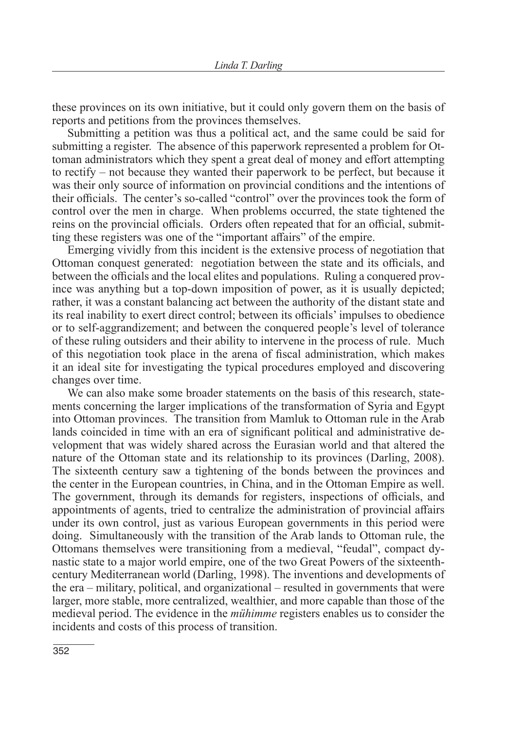these provinces on its own initiative, but it could only govern them on the basis of reports and petitions from the provinces themselves.

Submitting a petition was thus a political act, and the same could be said for submitting a register. The absence of this paperwork represented a problem for Ottoman administrators which they spent a great deal of money and effort attempting to rectify – not because they wanted their paperwork to be perfect, but because it was their only source of information on provincial conditions and the intentions of their officials. The center's so-called "control" over the provinces took the form of control over the men in charge. When problems occurred, the state tightened the reins on the provincial officials. Orders often repeated that for an official, submitting these registers was one of the "important affairs" of the empire.

Emerging vividly from this incident is the extensive process of negotiation that Ottoman conquest generated: negotiation between the state and its officials, and between the officials and the local elites and populations. Ruling a conquered province was anything but a top-down imposition of power, as it is usually depicted; rather, it was a constant balancing act between the authority of the distant state and its real inability to exert direct control; between its officials' impulses to obedience or to self-aggrandizement; and between the conquered people's level of tolerance of these ruling outsiders and their ability to intervene in the process of rule. Much of this negotiation took place in the arena of fiscal administration, which makes it an ideal site for investigating the typical procedures employed and discovering changes over time.

We can also make some broader statements on the basis of this research, statements concerning the larger implications of the transformation of Syria and Egypt into Ottoman provinces. The transition from Mamluk to Ottoman rule in the Arab lands coincided in time with an era of significant political and administrative development that was widely shared across the Eurasian world and that altered the nature of the Ottoman state and its relationship to its provinces (Darling, 2008). The sixteenth century saw a tightening of the bonds between the provinces and the center in the European countries, in China, and in the Ottoman Empire as well. The government, through its demands for registers, inspections of officials, and appointments of agents, tried to centralize the administration of provincial affairs under its own control, just as various European governments in this period were doing. Simultaneously with the transition of the Arab lands to Ottoman rule, the Ottomans themselves were transitioning from a medieval, "feudal", compact dynastic state to a major world empire, one of the two Great Powers of the sixteenthcentury Mediterranean world (Darling, 1998). The inventions and developments of the era – military, political, and organizational – resulted in governments that were larger, more stable, more centralized, wealthier, and more capable than those of the medieval period. The evidence in the *mühimme* registers enables us to consider the incidents and costs of this process of transition.